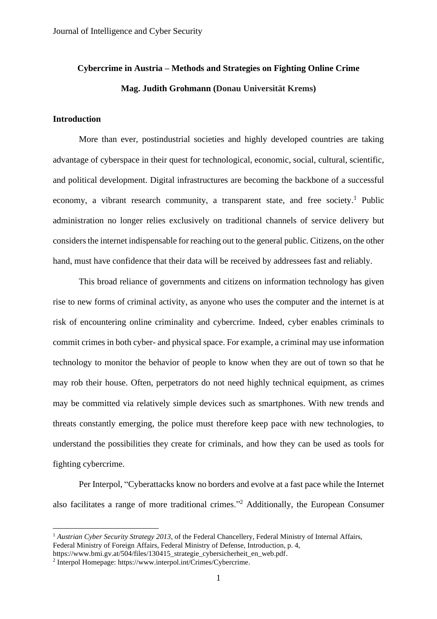# **Cybercrime in Austria – Methods and Strategies on Fighting Online Crime Mag. Judith Grohmann (Donau Universität Krems)**

# **Introduction**

More than ever, postindustrial societies and highly developed countries are taking advantage of cyberspace in their quest for technological, economic, social, cultural, scientific, and political development. Digital infrastructures are becoming the backbone of a successful economy, a vibrant research community, a transparent state, and free society.<sup>1</sup> Public administration no longer relies exclusively on traditional channels of service delivery but considers the internet indispensable for reaching out to the general public. Citizens, on the other hand, must have confidence that their data will be received by addressees fast and reliably.

This broad reliance of governments and citizens on information technology has given rise to new forms of criminal activity, as anyone who uses the computer and the internet is at risk of encountering online criminality and cybercrime. Indeed, cyber enables criminals to commit crimes in both cyber- and physical space. For example, a criminal may use information technology to monitor the behavior of people to know when they are out of town so that he may rob their house. Often, perpetrators do not need highly technical equipment, as crimes may be committed via relatively simple devices such as smartphones. With new trends and threats constantly emerging, the police must therefore keep pace with new technologies, to understand the possibilities they create for criminals, and how they can be used as tools for fighting cybercrime.

Per Interpol, "Cyberattacks know no borders and evolve at a fast pace while the Internet also facilitates a range of more traditional crimes."<sup>2</sup> Additionally, the European Consumer

<sup>&</sup>lt;sup>1</sup> *Austrian Cyber Security Strategy 2013*, of the Federal Chancellery, Federal Ministry of Internal Affairs, Federal Ministry of Foreign Affairs, Federal Ministry of Defense, Introduction, p. 4,

[https://www.bmi.gv.at/504/files/130415\\_strategie\\_cybersicherheit\\_en\\_web.pdf.](https://www.bmi.gv.at/504/files/130415_strategie_cybersicherheit_en_web.pdf)

<sup>2</sup> Interpol Homepage: [https://www.interpol.int/Crimes/Cybercrime.](https://www.interpol.int/Crimes/Cybercrime)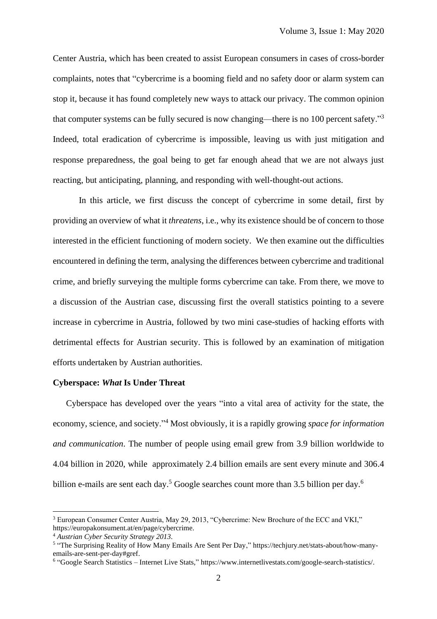Center Austria, which has been created to assist European consumers in cases of cross-border complaints, notes that "cybercrime is a booming field and no safety door or alarm system can stop it, because it has found completely new ways to attack our privacy. The common opinion that computer systems can be fully secured is now changing—there is no 100 percent safety."<sup>3</sup> Indeed, total eradication of cybercrime is impossible, leaving us with just mitigation and response preparedness, the goal being to get far enough ahead that we are not always just reacting, but anticipating, planning, and responding with well-thought-out actions.

In this article, we first discuss the concept of cybercrime in some detail, first by providing an overview of what it *threatens*, i.e., why its existence should be of concern to those interested in the efficient functioning of modern society. We then examine out the difficulties encountered in defining the term, analysing the differences between cybercrime and traditional crime, and briefly surveying the multiple forms cybercrime can take. From there, we move to a discussion of the Austrian case, discussing first the overall statistics pointing to a severe increase in cybercrime in Austria, followed by two mini case-studies of hacking efforts with detrimental effects for Austrian security. This is followed by an examination of mitigation efforts undertaken by Austrian authorities.

#### **Cyberspace:** *What* **Is Under Threat**

Cyberspace has developed over the years "into a vital area of activity for the state, the economy, science, and society."<sup>4</sup> Most obviously, it is a rapidly growing *space for information and communication*. The number of people using email grew from 3.9 billion worldwide to 4.04 billion in 2020, while approximately 2.4 billion emails are sent every minute and 306.4 billion e-mails are sent each day.<sup>5</sup> Google searches count more than 3.5 billion per day.<sup>6</sup>

<sup>3</sup> European Consumer Center Austria, May 29, 2013, "Cybercrime: New Brochure of the ECC and VKI," https://europakonsument.at/en/page/cybercrime.

<sup>4</sup> *Austrian Cyber Security Strategy 2013.*

<sup>5</sup> "The Surprising Reality of How Many Emails Are Sent Per Day," [https://techjury.net/stats-about/how-many](https://techjury.net/stats-about/how-many-emails-are-sent-per-day#gref)[emails-are-sent-per-day#gref.](https://techjury.net/stats-about/how-many-emails-are-sent-per-day#gref)

<sup>6</sup> "Google Search Statistics – Internet Live Stats*,*" [https://www.internetlivestats.com/google-search-statistics/.](https://www.internetlivestats.com/google-search-statistics/)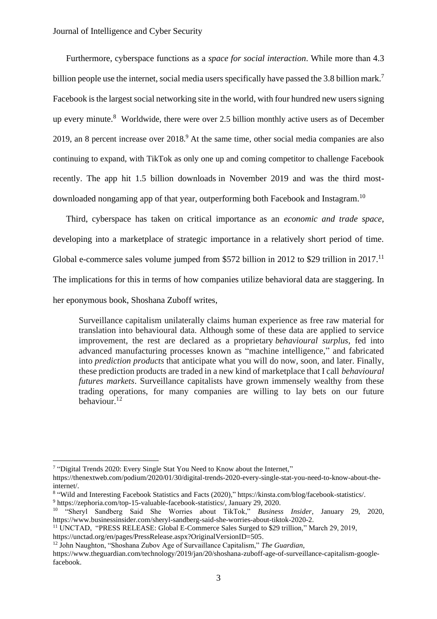Furthermore, cyberspace functions as a *space for social interaction*. While more than 4.3 billion people use the internet, social media users specifically have passed the 3.8 billion mark.<sup>7</sup> Facebook is the largest social networking site in the world, with four hundred new users signing up every minute.<sup>8</sup> Worldwide, there were over 2.5 billion monthly active users as of December 2019, an 8 percent increase over  $2018<sup>9</sup>$  At the same time, other social media companies are also continuing to expand, with TikTok as only one up and coming competitor to challenge Facebook recently. The app hit 1.5 billion downloads in November 2019 and was the third mostdownloaded nongaming app of that year, outperforming both Facebook and Instagram.<sup>10</sup>

Third, cyberspace has taken on critical importance as an *economic and trade space*, developing into a marketplace of strategic importance in a relatively short period of time. Global e-commerce sales volume jumped from \$572 billion in 2012 to \$29 trillion in 2017.<sup>11</sup> The implications for this in terms of how companies utilize behavioral data are staggering. In her eponymous book, Shoshana Zuboff writes,

Surveillance capitalism unilaterally claims human experience as free raw material for translation into behavioural data. Although some of these data are applied to service improvement, the rest are declared as a proprietary *behavioural surplus*, fed into advanced manufacturing processes known as "machine intelligence," and fabricated into *prediction products* that anticipate what you will do now, soon, and later. Finally, these prediction products are traded in a new kind of marketplace that I call *behavioural futures markets*. Surveillance capitalists have grown immensely wealthy from these trading operations, for many companies are willing to lay bets on our future behaviour.<sup>12</sup>

[https://unctad.org/en/pages/PressRelease.aspx?OriginalVersionID=505.](https://unctad.org/en/pages/PressRelease.aspx?OriginalVersionID=505)

<sup>12</sup> John Naughton, "Shoshana Zubov Age of Survaillance Capitalism," *The Guardian*,

<sup>&</sup>lt;sup>7</sup> "Digital Trends 2020: Every Single Stat You Need to Know about the Internet,"

[https://thenextweb.com/podium/2020/01/30/digital-trends-2020-every-single-stat-you-need-to-know-about-the](https://thenextweb.com/podium/2020/01/30/digital-trends-2020-every-single-stat-you-need-to-know-about-the-internet/)[internet/.](https://thenextweb.com/podium/2020/01/30/digital-trends-2020-every-single-stat-you-need-to-know-about-the-internet/)

<sup>8</sup> "Wild and Interesting Facebook Statistics and Facts (2020),[" https://kinsta.com/blog/facebook-statistics/.](https://kinsta.com/blog/facebook-statistics/)

<sup>9</sup> [https://zephoria.com/top-15-valuable-facebook-statistics/,](https://zephoria.com/top-15-valuable-facebook-statistics/) January 29, 2020. <sup>10</sup> "Sheryl Sandberg Said She Worries about TikTok," *Business Insider*, January 29, 2020,

https://www.businessinsider.com/sheryl-sandberg-said-she-worries-about-tiktok-2020-2.

<sup>11</sup> UNCTAD, "PRESS RELEASE: Global E-Commerce Sales Surged to \$29 trillion," March 29, 2019,

[https://www.theguardian.com/technology/2019/jan/20/shoshana-zuboff-age-of-surveillance-capitalism-google](https://www.theguardian.com/technology/2019/jan/20/shoshana-zuboff-age-of-surveillance-capitalism-google-facebook)[facebook.](https://www.theguardian.com/technology/2019/jan/20/shoshana-zuboff-age-of-surveillance-capitalism-google-facebook)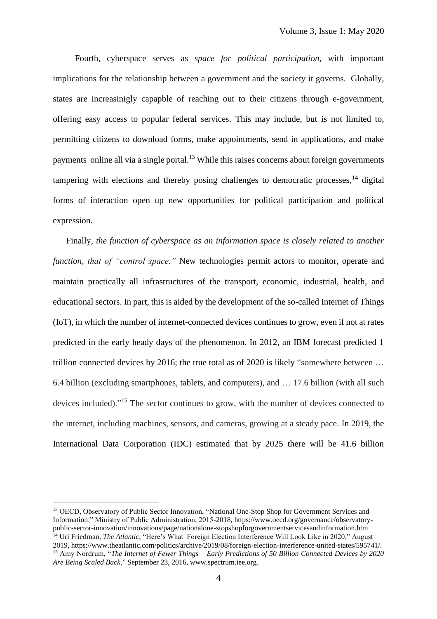Fourth, cyberspace serves as *space for political participation*, with important implications for the relationship between a government and the society it governs. Globally, states are increasinigly capapble of reaching out to their citizens through e-government, offering easy access to popular federal services. This may include, but is not limited to, permitting citizens to download forms, make appointments, send in applications, and make payments online all via a single portal.<sup>13</sup> While this raises concerns about foreign governments tampering with elections and thereby posing challenges to democratic processes,<sup>14</sup> digital forms of interaction open up new opportunities for political participation and political expression.

Finally, *the function of cyberspace as an information space is closely related to another function, that of "control space."* New technologies permit actors to monitor, operate and maintain practically all infrastructures of the transport, economic, industrial, health, and educational sectors. In part, this is aided by the development of the so-called Internet of Things (IoT), in which the number of internet-connected devices continues to grow, even if not at rates predicted in the early heady days of the phenomenon. In 2012, an IBM forecast predicted 1 trillion connected devices by 2016; the true total as of 2020 is likely "somewhere between … 6.4 billion (excluding smartphones, tablets, and computers), and … 17.6 billion (with all such devices included)."<sup>15</sup> The sector continues to grow, with the number of devices connected to the internet, including machines, sensors, and cameras, growing at a steady pace. In 2019, the International Data Corporation (IDC) estimated that by 2025 there will be 41.6 billion

<sup>&</sup>lt;sup>13</sup> OECD, Observatory of Public Sector Innovation, "National One-Stop Shop for Government Services and Information," Ministry of Public Administration, 2015-2018, [https://www.oecd.org/governance/observatory](https://www.oecd.org/governance/observatory-public-sector-innovation/innovations/page/nationalone-stopshopforgovernmentservicesandinformation.htm)[public-sector-innovation/innovations/page/nationalone-stopshopforgovernmentservicesandinformation.htm](https://www.oecd.org/governance/observatory-public-sector-innovation/innovations/page/nationalone-stopshopforgovernmentservicesandinformation.htm) <sup>14</sup> Uri Friedman, *The Atlantic*, "Here's What Foreign Election Interference Will Look Like in 2020," August 2019, [https://www.theatlantic.com/politics/archive/2019/08/foreign-election-interference-united-states/595741/.](https://www.theatlantic.com/politics/archive/2019/08/foreign-election-interference-united-states/595741/) <sup>15</sup> Amy Nordrum, "*The Internet of Fewer Things – Early Predictions of 50 Billion Connected Devices by 2020 Are Being Scaled Back*," September 23, 2016[, www.spectrum.iee.org.](http://www.spectrum.iee.org/)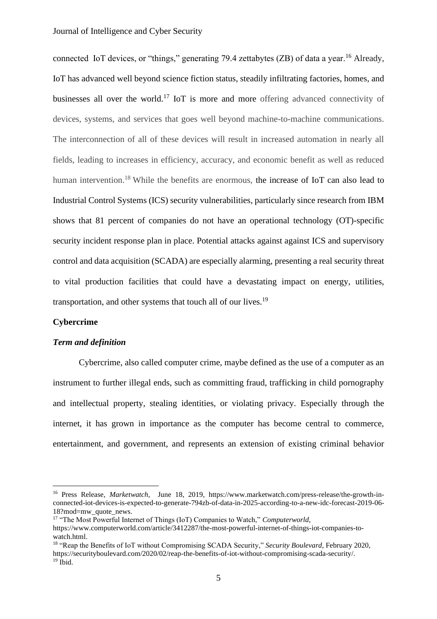connected IoT devices, or "things," generating 79.4 zettabytes (ZB) of data a year.<sup>16</sup> Already, IoT has advanced well beyond science fiction status, steadily infiltrating factories, homes, and businesses all over the world.<sup>17</sup> IoT is more and more offering advanced connectivity of devices, systems, and services that goes well beyond machine-to-machine communications. The interconnection of all of these devices will result in increased automation in nearly all fields, leading to increases in efficiency, accuracy, and economic benefit as well as reduced human intervention.<sup>18</sup> While the benefits are enormous, the increase of IoT can also lead to Industrial Control Systems (ICS) security vulnerabilities, particularly since research from IBM shows that 81 percent of companies do not have an operational technology (OT)-specific security incident response plan in place. Potential attacks against against ICS and supervisory control and data acquisition (SCADA) are especially alarming, presenting a real security threat to vital production facilities that could have a devastating impact on energy, utilities, transportation, and other systems that touch all of our lives.<sup>19</sup>

## **Cybercrime**

### *Term and definition*

Cybercrime, also called computer crime, maybe defined as the use of a computer as an instrument to further illegal ends, such as committing fraud, trafficking in child pornography and intellectual property, stealing identities, or violating privacy. Especially through the internet, it has grown in importance as the computer has become central to commerce, entertainment, and government, and represents an extension of existing criminal behavior

<sup>16</sup> Press Release, *Marketwatch*, June 18, 2019, [https://www.marketwatch.com/press-release/the-growth-in](https://www.marketwatch.com/press-release/the-growth-in-connected-iot-devices-is-expected-to-generate-794zb-of-data-in-2025-according-to-a-new-idc-forecast-2019-06-18?mod=mw_quote_news)[connected-iot-devices-is-expected-to-generate-794zb-of-data-in-2025-according-to-a-new-idc-forecast-2019-06-](https://www.marketwatch.com/press-release/the-growth-in-connected-iot-devices-is-expected-to-generate-794zb-of-data-in-2025-according-to-a-new-idc-forecast-2019-06-18?mod=mw_quote_news) [18?mod=mw\\_quote\\_news.](https://www.marketwatch.com/press-release/the-growth-in-connected-iot-devices-is-expected-to-generate-794zb-of-data-in-2025-according-to-a-new-idc-forecast-2019-06-18?mod=mw_quote_news)

<sup>17</sup> "The Most Powerful Internet of Things (IoT) Companies to Watch," *Computerworld*,

[https://www.computerworld.com/article/3412287/the-most-powerful-internet-of-things-iot-companies-to](https://www.computerworld.com/article/3412287/the-most-powerful-internet-of-things-iot-companies-to-watch.html)[watch.html.](https://www.computerworld.com/article/3412287/the-most-powerful-internet-of-things-iot-companies-to-watch.html)

<sup>18</sup> "Reap the Benefits of IoT without Compromising SCADA Security," *Security Boulevard*, February 2020, [https://securityboulevard.com/2020/02/reap-the-benefits-of-iot-without-compromising-scada-security/.](https://securityboulevard.com/2020/02/reap-the-benefits-of-iot-without-compromising-scada-security/)  $19$  Ibid.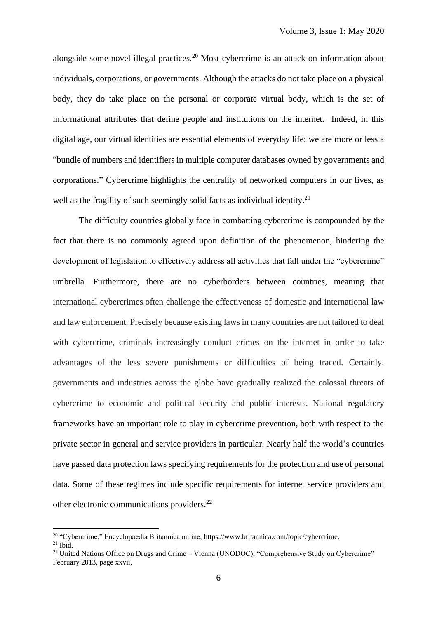alongside some novel illegal practices.<sup>20</sup> Most cybercrime is an attack on information about individuals, corporations, or governments. Although the attacks do not take place on a physical body, they do take place on the personal or corporate virtual body, which is the set of informational attributes that define people and institutions on the internet. Indeed, in this digital age, our virtual identities are essential elements of everyday life: we are more or less a "bundle of numbers and identifiers in multiple computer databases owned by governments and corporations." Cybercrime highlights the centrality of networked computers in our lives, as well as the fragility of such seemingly solid facts as individual identity.<sup>21</sup>

The difficulty countries globally face in combatting cybercrime is compounded by the fact that there is no commonly agreed upon definition of the phenomenon, hindering the development of legislation to effectively address all activities that fall under the "cybercrime" umbrella. Furthermore, there are no cyberborders between countries, meaning that international cybercrimes often challenge the effectiveness of domestic and international law and law enforcement. Precisely because existing laws in many countries are not tailored to deal with cybercrime, criminals increasingly conduct crimes on the internet in order to take advantages of the less severe punishments or difficulties of being traced. Certainly, governments and industries across the globe have gradually realized the colossal threats of cybercrime to economic and political security and public interests. National regulatory frameworks have an important role to play in cybercrime prevention, both with respect to the private sector in general and service providers in particular. Nearly half the world's countries have passed data protection laws specifying requirements for the protection and use of personal data. Some of these regimes include specific requirements for internet service providers and other electronic communications providers.<sup>22</sup>

<sup>&</sup>lt;sup>20</sup> "Cybercrime," Encyclopaedia Britannica online, [https://www.britannica.com/topic/cybercrime.](https://www.britannica.com/topic/cybercrime)

 $21$  Ibid.

<sup>&</sup>lt;sup>22</sup> United Nations Office on Drugs and Crime – Vienna (UNODOC), "Comprehensive Study on Cybercrime" February 2013, page xxvii,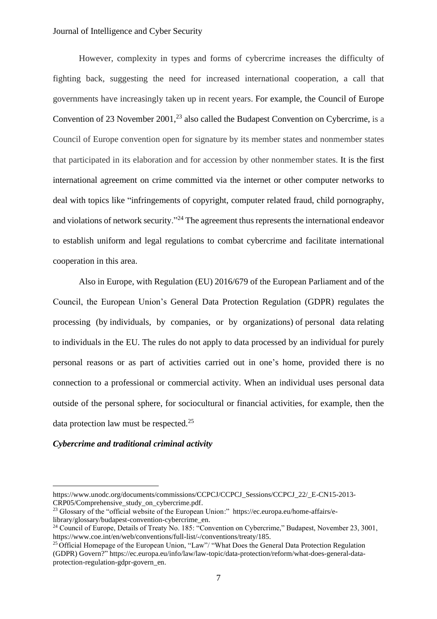## Journal of Intelligence and Cyber Security

However, complexity in types and forms of cybercrime increases the difficulty of fighting back, suggesting the need for increased international cooperation, a call that governments have increasingly taken up in recent years. For example, the Council of Europe Convention of 23 November 2001,<sup>23</sup> also called the Budapest Convention on Cybercrime, is a Council of Europe convention open for signature by its member states and nonmember states that participated in its elaboration and for accession by other nonmember states. It is the first international agreement on crime committed via the internet or other computer networks to deal with topics like "infringements of copyright, computer related fraud, child pornography, and violations of network security."<sup>24</sup> The agreement thus represents the international endeavor to establish uniform and legal regulations to combat cybercrime and facilitate international cooperation in this area.

Also in Europe, with Regulation (EU) 2016/679 of the European Parliament and of the Council, the European Union's General Data Protection Regulation (GDPR) regulates the processing (by individuals, by companies, or by organizations) of personal data relating to individuals in the EU. The rules do not apply to data processed by an individual for purely personal reasons or as part of activities carried out in one's home, provided there is no connection to a professional or commercial activity. When an individual uses personal data outside of the personal sphere, for sociocultural or financial activities, for example, then the data protection law must be respected.<sup>25</sup>

#### *Cybercrime and traditional criminal activity*

[https://www.unodc.org/documents/commissions/CCPCJ/CCPCJ\\_Sessions/CCPCJ\\_22/\\_E-CN15-2013-](https://www.unodc.org/documents/commissions/CCPCJ/CCPCJ_Sessions/CCPCJ_22/_E-CN15-2013-CRP05/Comprehensive_study_on_cybercrime.pdf) [CRP05/Comprehensive\\_study\\_on\\_cybercrime.pdf.](https://www.unodc.org/documents/commissions/CCPCJ/CCPCJ_Sessions/CCPCJ_22/_E-CN15-2013-CRP05/Comprehensive_study_on_cybercrime.pdf)

<sup>&</sup>lt;sup>23</sup> Glossary of the "official website of the European Union:" [https://ec.europa.eu/home-affairs/e](https://ec.europa.eu/home-affairs/e-library/glossary/budapest-convention-cybercrime_en)[library/glossary/budapest-convention-cybercrime\\_en.](https://ec.europa.eu/home-affairs/e-library/glossary/budapest-convention-cybercrime_en)

<sup>&</sup>lt;sup>24</sup> Council of Europe, Details of Treaty No. 185: "Convention on Cybercrime," Budapest, November 23, 3001, [https://www.coe.int/en/web/conventions/full-list/-/conventions/treaty/185.](https://www.coe.int/en/web/conventions/full-list/-/conventions/treaty/185)

<sup>&</sup>lt;sup>25</sup> Official Homepage of the European Union, "Law"/ "What Does the General Data Protection Regulation (GDPR) Govern?" [https://ec.europa.eu/info/law/law-topic/data-protection/reform/what-does-general-data](https://ec.europa.eu/info/law/law-topic/data-protection/reform/what-does-general-data-protection-regulation-gdpr-govern_en)[protection-regulation-gdpr-govern\\_en.](https://ec.europa.eu/info/law/law-topic/data-protection/reform/what-does-general-data-protection-regulation-gdpr-govern_en)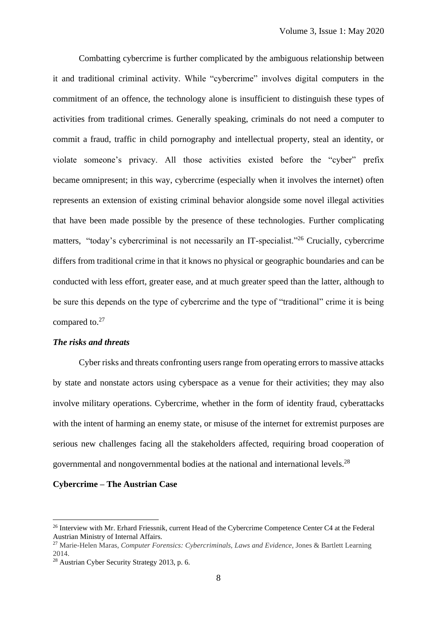Combatting cybercrime is further complicated by the ambiguous relationship between it and traditional criminal activity. While "cybercrime" involves digital computers in the commitment of an offence, the technology alone is insufficient to distinguish these types of activities from traditional crimes. Generally speaking, criminals do not need a computer to commit a fraud, traffic in child pornography and intellectual property, steal an identity, or violate someone's privacy. All those activities existed before the "cyber" prefix became omnipresent; in this way, cybercrime (especially when it involves the internet) often represents an extension of existing criminal behavior alongside some novel illegal activities that have been made possible by the presence of these technologies. Further complicating matters, "today's cybercriminal is not necessarily an IT-specialist."<sup>26</sup> Crucially, cybercrime differs from traditional crime in that it knows no physical or geographic boundaries and can be conducted with less effort, greater ease, and at much greater speed than the latter, although to be sure this depends on the type of cybercrime and the type of "traditional" crime it is being compared to.<sup>27</sup>

# *The risks and threats*

Cyber risks and threats confronting users range from operating errors to massive attacks by state and nonstate actors using cyberspace as a venue for their activities; they may also involve military operations. Cybercrime, whether in the form of identity fraud, cyberattacks with the intent of harming an enemy state, or misuse of the internet for extremist purposes are serious new challenges facing all the stakeholders affected, requiring broad cooperation of governmental and nongovernmental bodies at the national and international levels.<sup>28</sup>

#### **Cybercrime – The Austrian Case**

<sup>&</sup>lt;sup>26</sup> Interview with Mr. Erhard Friessnik, current Head of the Cybercrime Competence Center C4 at the Federal Austrian Ministry of Internal Affairs.

<sup>27</sup> Marie-Helen Maras, *Computer Forensics: Cybercriminals, Laws and Evidence*, Jones & Bartlett Learning 2014.

<sup>28</sup> Austrian Cyber Security Strategy 2013, p. 6.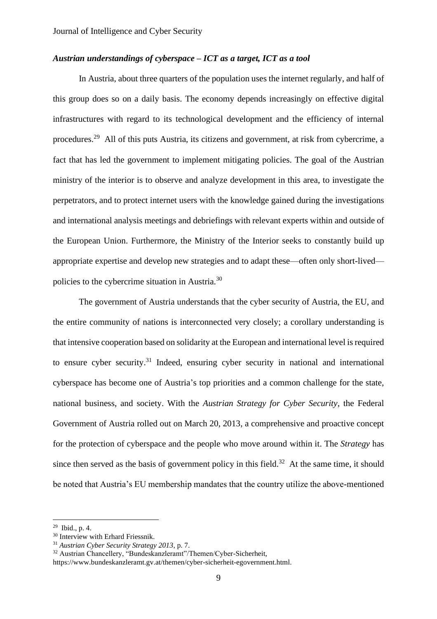# *Austrian understandings of cyberspace – ICT as a target, ICT as a tool*

In Austria, about three quarters of the population uses the internet regularly, and half of this group does so on a daily basis. The economy depends increasingly on effective digital infrastructures with regard to its technological development and the efficiency of internal procedures.<sup>29</sup> All of this puts Austria, its citizens and government, at risk from cybercrime, a fact that has led the government to implement mitigating policies. The goal of the Austrian ministry of the interior is to observe and analyze development in this area, to investigate the perpetrators, and to protect internet users with the knowledge gained during the investigations and international analysis meetings and debriefings with relevant experts within and outside of the European Union. Furthermore, the Ministry of the Interior seeks to constantly build up appropriate expertise and develop new strategies and to adapt these—often only short-lived policies to the cybercrime situation in Austria.<sup>30</sup>

The government of Austria understands that the cyber security of Austria, the EU, and the entire community of nations is interconnected very closely; a corollary understanding is that intensive cooperation based on solidarity at the European and international level is required to ensure cyber security.<sup>31</sup> Indeed, ensuring cyber security in national and international cyberspace has become one of Austria's top priorities and a common challenge for the state, national business, and society. With the *Austrian Strategy for Cyber Security*, the Federal Government of Austria rolled out on March 20, 2013, a comprehensive and proactive concept for the protection of cyberspace and the people who move around within it. The *Strategy* has since then served as the basis of government policy in this field.<sup>32</sup> At the same time, it should be noted that Austria's EU membership mandates that the country utilize the above-mentioned

 $29$  Ibid., p. 4.

<sup>&</sup>lt;sup>30</sup> Interview with Erhard Friessnik.

<sup>31</sup> *Austrian Cyber Security Strategy 2013*, p. 7.

<sup>32</sup> Austrian Chancellery, "Bundeskanzleramt"/Themen/Cyber-Sicherheit,

[https://www.bundeskanzleramt.gv.at/themen/cyber-sicherheit-egovernment.html.](https://www.bundeskanzleramt.gv.at/themen/cyber-sicherheit-egovernment.html)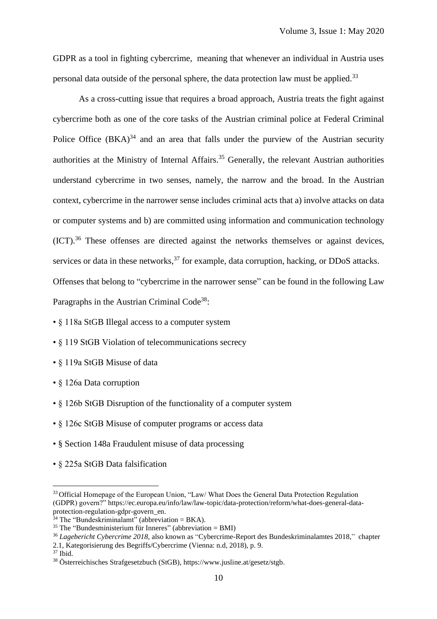GDPR as a tool in fighting cybercrime, meaning that whenever an individual in Austria uses personal data outside of the personal sphere, the data protection law must be applied.<sup>33</sup>

As a cross-cutting issue that requires a broad approach, Austria treats the fight against cybercrime both as one of the core tasks of the Austrian criminal police at Federal Criminal Police Office  $(BKA)^{34}$  and an area that falls under the purview of the Austrian security authorities at the Ministry of Internal Affairs. <sup>35</sup> Generally, the relevant Austrian authorities understand cybercrime in two senses, namely, the narrow and the broad. In the Austrian context, cybercrime in the narrower sense includes criminal acts that a) involve attacks on data or computer systems and b) are committed using information and communication technology  $(ICT).$ <sup>36</sup> These offenses are directed against the networks themselves or against devices, services or data in these networks,<sup>37</sup> for example, data corruption, hacking, or DDoS attacks. Offenses that belong to "cybercrime in the narrower sense" can be found in the following Law Paragraphs in the Austrian Criminal Code<sup>38</sup>:

• § 118a StGB Illegal access to a computer system

•  $\frac{119}{119}$  StGB Violation of telecommunications secrecy

- § 119a StGB Misuse of data
- § 126a Data corruption

• § 126b StGB Disruption of the functionality of a computer system

• § 126c StGB Misuse of computer programs or access data

- § Section 148a Fraudulent misuse of data processing
- § 225a StGB Data falsification

2.1, Kategorisierung des Begriffs/Cybercrime (Vienna: n.d, 2018), p. 9.

<sup>&</sup>lt;sup>33</sup> Official Homepage of the European Union, "Law/ What Does the General Data Protection Regulation (GDPR) govern?" [https://ec.europa.eu/info/law/law-topic/data-protection/reform/what-does-general-data](https://ec.europa.eu/info/law/law-topic/data-protection/reform/what-does-general-data-protection-regulation-gdpr-govern_en)[protection-regulation-gdpr-govern\\_en.](https://ec.europa.eu/info/law/law-topic/data-protection/reform/what-does-general-data-protection-regulation-gdpr-govern_en)

 $34$  The "Bundeskriminalamt" (abbreviation = BKA).

 $35$  The "Bundesministerium für Inneres" (abbreviation = BMI)

<sup>36</sup> *Lagebericht Cybercrime 2018*, also known as "Cybercrime-Report des Bundeskriminalamtes 2018," chapter

 $37$  Ibid.

<sup>38</sup> Österreichisches Strafgesetzbuch (StGB), [https://www.jusline.at/gesetz/stgb.](https://www.jusline.at/gesetz/stgb)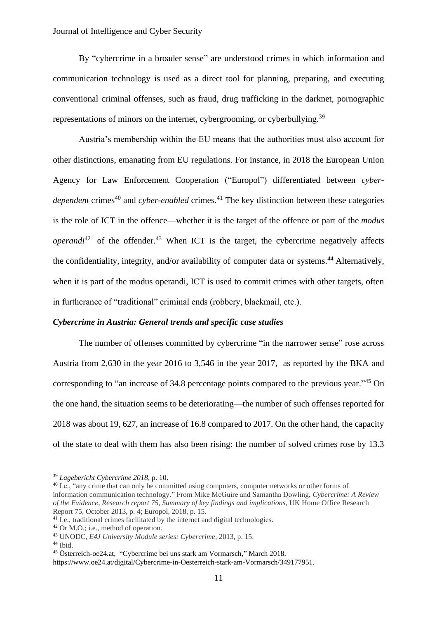### Journal of Intelligence and Cyber Security

By "cybercrime in a broader sense" are understood crimes in which information and communication technology is used as a direct tool for planning, preparing, and executing conventional criminal offenses, such as fraud, drug trafficking in the darknet, pornographic representations of minors on the internet, cybergrooming, or cyberbullying.<sup>39</sup>

Austria's membership within the EU means that the authorities must also account for other distinctions, emanating from EU regulations. For instance, in 2018 the European Union Agency for Law Enforcement Cooperation ("Europol") differentiated between *cyber*dependent crimes<sup>40</sup> and *cyber-enabled* crimes.<sup>41</sup> The key distinction between these categories is the role of ICT in the offence—whether it is the target of the offence or part of the *modus operandi*<sup>42</sup> of the offender.<sup>43</sup> When ICT is the target, the cybercrime negatively affects the confidentiality*,* integrity*,* and/or availability of computer data or systems. <sup>44</sup> Alternatively, when it is part of the modus operandi, ICT is used to commit crimes with other targets, often in furtherance of "traditional" criminal ends (robbery, blackmail, etc.).

#### *Cybercrime in Austria: General trends and specific case studies*

The number of offenses committed by cybercrime "in the narrower sense" rose across Austria from 2,630 in the year 2016 to 3,546 in the year 2017, as reported by the BKA and corresponding to "an increase of 34.8 percentage points compared to the previous year."<sup>45</sup> On the one hand, the situation seems to be deteriorating—the number of such offenses reported for 2018 was about 19, 627, an increase of 16.8 compared to 2017. On the other hand, the capacity of the state to deal with them has also been rising: the number of solved crimes rose by 13.3

<sup>39</sup> *Lagebericht Cybercrime 2018*, p. 10.

<sup>&</sup>lt;sup>40</sup> I.e., "any crime that can only be committed using computers, computer networks or other forms of information communication technology." From Mike McGuire and Samantha Dowling, *Cybercrime: A Review of the Evidence*, *Research report 75, Summary of key findings and implications,* UK Home Office Research Report 75, October 2013, p. 4; Europol, 2018, p. 15.

<sup>&</sup>lt;sup>41</sup> I.e., traditional crimes facilitated by the internet and digital technologies.

<sup>42</sup> Or M.O.; i.e., method of operation.

<sup>43</sup> UNODC, *E4J University Module series: Cybercrime*, 2013, p. 15.

 $44$  Ibid.

<sup>45</sup> Österreich-oe24.at, "Cybercrime bei uns stark am Vormarsch," March 2018,

[https://www.oe24.at/digital/Cybercrime-in-Oesterreich-stark-am-Vormarsch/349177951.](https://www.oe24.at/digital/Cybercrime-in-Oesterreich-stark-am-Vormarsch/349177951)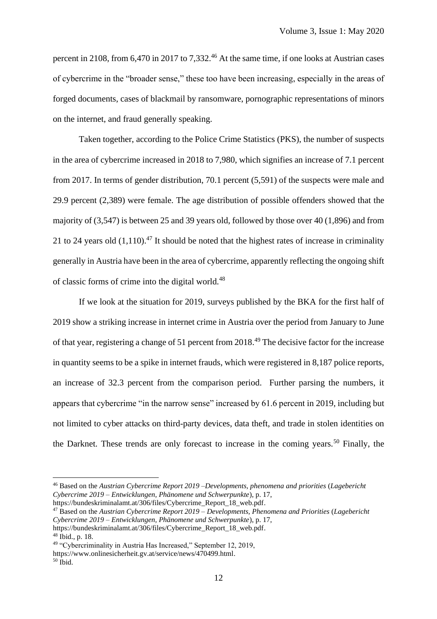percent in 2108, from 6,470 in 2017 to 7,332.<sup>46</sup> At the same time, if one looks at Austrian cases of cybercrime in the "broader sense," these too have been increasing, especially in the areas of forged documents, cases of blackmail by ransomware, pornographic representations of minors on the internet, and fraud generally speaking.

Taken together, according to the Police Crime Statistics (PKS), the number of suspects in the area of cybercrime increased in 2018 to 7,980, which signifies an increase of 7.1 percent from 2017. In terms of gender distribution, 70.1 percent (5,591) of the suspects were male and 29.9 percent (2,389) were female. The age distribution of possible offenders showed that the majority of (3,547) is between 25 and 39 years old, followed by those over 40 (1,896) and from 21 to 24 years old  $(1,110)$ .<sup>47</sup> It should be noted that the highest rates of increase in criminality generally in Austria have been in the area of cybercrime, apparently reflecting the ongoing shift of classic forms of crime into the digital world.<sup>48</sup>

If we look at the situation for 2019, surveys published by the BKA for the first half of 2019 show a striking increase in internet crime in Austria over the period from January to June of that year, registering a change of 51 percent from 2018.<sup>49</sup> The decisive factor for the increase in quantity seems to be a spike in internet frauds, which were registered in 8,187 police reports, an increase of 32.3 percent from the comparison period. Further parsing the numbers, it appears that cybercrime "in the narrow sense" increased by 61.6 percent in 2019, including but not limited to cyber attacks on third-party devices, data theft, and trade in stolen identities on the Darknet. These trends are only forecast to increase in the coming years.<sup>50</sup> Finally, the

[https://bundeskriminalamt.at/306/files/Cybercrime\\_Report\\_18\\_web.pdf.](https://bundeskriminalamt.at/306/files/Cybercrime_Report_18_web.pdf)  $48$  Ibid., p. 18.

<sup>46</sup> Based on the *Austrian Cybercrime Report 2019 –Developments, phenomena and priorities* (*Lagebericht Cybercrime 2019 – Entwicklungen, Phänomene und Schwerpunkte*), p. 17, [https://bundeskriminalamt.at/306/files/Cybercrime\\_Report\\_18\\_web.pdf.](https://bundeskriminalamt.at/306/files/Cybercrime_Report_18_web.pdf)

<sup>47</sup> Based on the *Austrian Cybercrime Report 2019 – Developments, Phenomena and Priorities* (*Lagebericht Cybercrime 2019 – Entwicklungen, Phänomene und Schwerpunkte*), p. 17,

<sup>49</sup> "Cybercriminality in Austria Has Increased," September 12, 2019,

[https://www.onlinesicherheit.gv.at/service/news/470499.html.](https://www.onlinesicherheit.gv.at/service/news/470499.html)

 $50$  Ibid.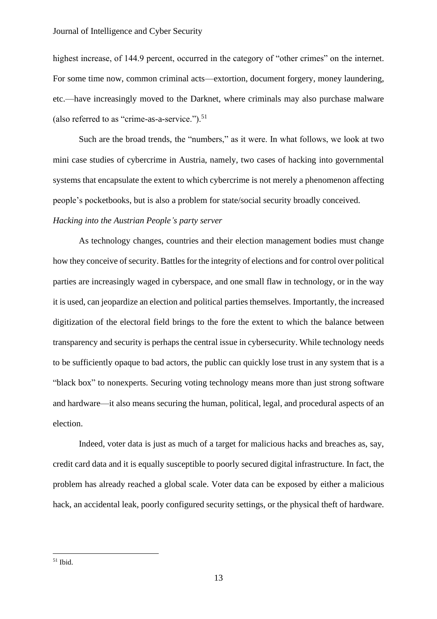highest increase, of 144.9 percent, occurred in the category of "other crimes" on the internet. For some time now, common criminal acts—extortion, document forgery, money laundering, etc.—have increasingly moved to the Darknet, where criminals may also purchase malware (also referred to as "crime-as-a-service."). $51$ 

Such are the broad trends, the "numbers," as it were. In what follows, we look at two mini case studies of cybercrime in Austria, namely, two cases of hacking into governmental systems that encapsulate the extent to which cybercrime is not merely a phenomenon affecting people's pocketbooks, but is also a problem for state/social security broadly conceived.

# *Hacking into the Austrian People's party server*

As technology changes, countries and their election management bodies must change how they conceive of security. Battles for the integrity of elections and for control over political parties are increasingly waged in cyberspace, and one small flaw in technology, or in the way it is used, can jeopardize an election and political parties themselves. Importantly, the increased digitization of the electoral field brings to the fore the extent to which the balance between transparency and security is perhaps the central issue in cybersecurity. While technology needs to be sufficiently opaque to bad actors, the public can quickly lose trust in any system that is a "black box" to nonexperts. Securing voting technology means more than just strong software and hardware—it also means securing the human, political, legal, and procedural aspects of an election.

Indeed, voter data is just as much of a target for malicious hacks and breaches as, say, credit card data and it is equally susceptible to poorly secured digital infrastructure. In fact, the problem has already reached a global scale. Voter data can be exposed by either a malicious hack, an accidental leak, poorly configured security settings, or the physical theft of hardware.

 $51$  Ibid.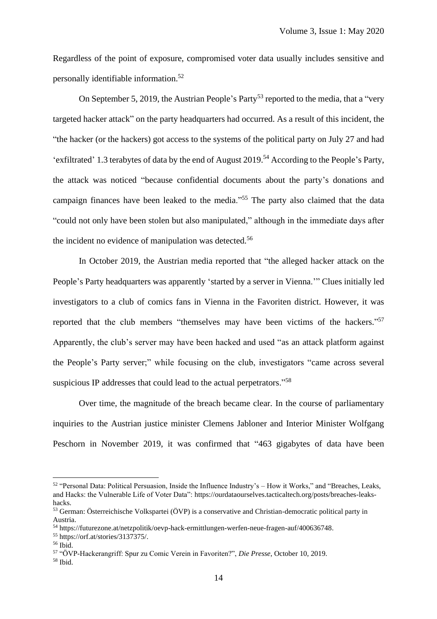Regardless of the point of exposure, compromised voter data usually includes sensitive and personally identifiable information. 52

On September 5, 2019, the Austrian People's Party<sup>53</sup> reported to the media, that a "very targeted hacker attack" on the party headquarters had occurred. As a result of this incident, the "the hacker (or the hackers) got access to the systems of the political party on July 27 and had 'exfiltrated' 1.3 terabytes of data by the end of August 2019. <sup>54</sup> According to the People's Party, the attack was noticed "because confidential documents about the party's donations and campaign finances have been leaked to the media."<sup>55</sup> The party also claimed that the data "could not only have been stolen but also manipulated," although in the immediate days after the incident no evidence of manipulation was detected.<sup>56</sup>

In October 2019, the Austrian media reported that "the alleged hacker attack on the People's Party headquarters was apparently 'started by a server in Vienna.'" Clues initially led investigators to a club of comics fans in Vienna in the Favoriten district. However, it was reported that the club members "themselves may have been victims of the hackers."<sup>57</sup> Apparently, the club's server may have been hacked and used "as an attack platform against the People's Party server;" while focusing on the club, investigators "came across several suspicious IP addresses that could lead to the actual perpetrators."<sup>58</sup>

Over time, the magnitude of the breach became clear. In the course of parliamentary inquiries to the Austrian justice minister Clemens Jabloner and Interior Minister Wolfgang Peschorn in November 2019, it was confirmed that "463 gigabytes of data have been

<sup>52</sup> "Personal Data: Political Persuasion, Inside the Influence Industry's – How it Works," and "Breaches, Leaks, and Hacks: the Vulnerable Life of Voter Data"[: https://ourdataourselves.tacticaltech.org/posts/breaches-leaks](https://ourdataourselves.tacticaltech.org/posts/breaches-leaks-hacks)[hacks.](https://ourdataourselves.tacticaltech.org/posts/breaches-leaks-hacks)

<sup>53</sup> German: Österreichische Volkspartei (ÖVP) is a conservative and Christian-democratic political party in Austria.

<sup>54</sup> [https://futurezone.at/netzpolitik/oevp-hack-ermittlungen-werfen-neue-fragen-auf/400636748.](https://futurezone.at/netzpolitik/oevp-hack-ermittlungen-werfen-neue-fragen-auf/400636748)

<sup>55</sup> [https://orf.at/stories/3137375/.](https://orf.at/stories/3137375/)

<sup>56</sup> Ibid.

<sup>57</sup> "ÖVP-Hackerangriff: Spur zu Comic Verein in Favoriten?", *Die Presse*, October 10, 2019.

 $58$  Ibid.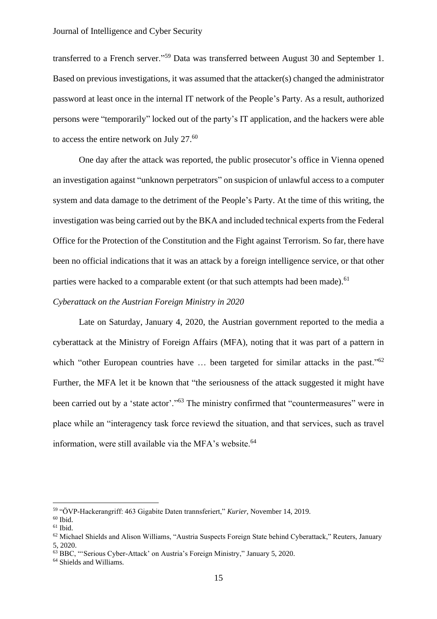transferred to a French server."<sup>59</sup> Data was transferred between August 30 and September 1. Based on previous investigations, it was assumed that the attacker(s) changed the administrator password at least once in the internal IT network of the People's Party. As a result, authorized persons were "temporarily" locked out of the party's IT application, and the hackers were able to access the entire network on July 27. $^{60}$ 

One day after the attack was reported, the public prosecutor's office in Vienna opened an investigation against "unknown perpetrators" on suspicion of unlawful access to a computer system and data damage to the detriment of the People's Party. At the time of this writing, the investigation was being carried out by the BKA and included technical experts from the Federal Office for the Protection of the Constitution and the Fight against Terrorism. So far, there have been no official indications that it was an attack by a foreign intelligence service, or that other parties were hacked to a comparable extent (or that such attempts had been made).<sup>61</sup>

# *Cyberattack on the Austrian Foreign Ministry in 2020*

Late on Saturday, January 4, 2020, the Austrian government reported to the media a cyberattack at the Ministry of Foreign Affairs (MFA), noting that it was part of a pattern in which "other European countries have ... been targeted for similar attacks in the past."<sup>62</sup> Further, the MFA let it be known that "the seriousness of the attack suggested it might have been carried out by a 'state actor'."<sup>63</sup> The ministry confirmed that "countermeasures" were in place while an "interagency task force reviewd the situation, and that services, such as travel information, were still available via the MFA's website.<sup>64</sup>

<sup>59</sup> "ÖVP-Hackerangriff: 463 Gigabite Daten trannsferiert," *Kurier*, November 14, 2019.

 $60$  Ibid.

 $^{61}$  Ibid.

<sup>62</sup> Michael Shields and Alison Williams, "Austria Suspects Foreign State behind Cyberattack," Reuters, January 5, 2020.

<sup>63</sup> BBC, "'Serious Cyber-Attack' on Austria's Foreign Ministry," January 5, 2020.

<sup>64</sup> Shields and Williams.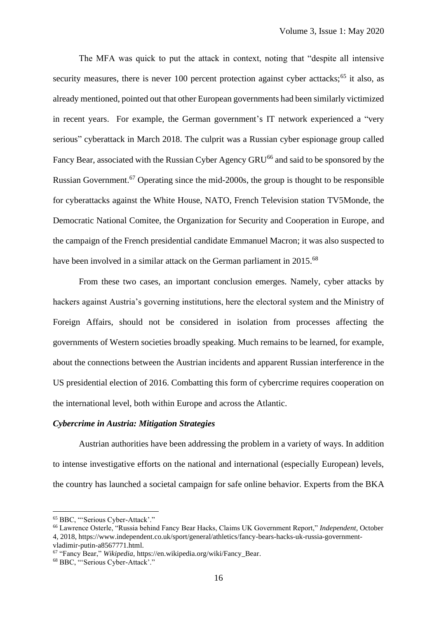The MFA was quick to put the attack in context, noting that "despite all intensive security measures, there is never 100 percent protection against cyber acttacks;<sup>65</sup> it also, as already mentioned, pointed out that other European governments had been similarly victimized in recent years. For example, the German government's IT network experienced a "very serious" cyberattack in March 2018. The culprit was a Russian cyber espionage group called Fancy Bear, associated with the Russian Cyber Agency GRU<sup>66</sup> and said to be sponsored by the Russian Government.<sup>67</sup> Operating since the mid-2000s, the group is thought to be responsible for cyberattacks against the White House, NATO, French Television station TV5Monde, the Democratic National Comitee, the Organization for Security and Cooperation in Europe, and the campaign of the French presidential candidate Emmanuel Macron; it was also suspected to have been involved in a similar attack on the German parliament in 2015.<sup>68</sup>

From these two cases, an important conclusion emerges. Namely, cyber attacks by hackers against Austria's governing institutions, here the electoral system and the Ministry of Foreign Affairs, should not be considered in isolation from processes affecting the governments of Western societies broadly speaking. Much remains to be learned, for example, about the connections between the Austrian incidents and apparent Russian interference in the US presidential election of 2016. Combatting this form of cybercrime requires cooperation on the international level, both within Europe and across the Atlantic.

# *Cybercrime in Austria: Mitigation Strategies*

Austrian authorities have been addressing the problem in a variety of ways. In addition to intense investigative efforts on the national and international (especially European) levels, the country has launched a societal campaign for safe online behavior. Experts from the BKA

<sup>65</sup> BBC, "'Serious Cyber-Attack'."

<sup>66</sup> Lawrence Osterle, "Russia behind Fancy Bear Hacks, Claims UK Government Report," *Independent*, October 4, 2018, [https://www.independent.co.uk/sport/general/athletics/fancy-bears-hacks-uk-russia-government-](https://www.independent.co.uk/sport/general/athletics/fancy-bears-hacks-uk-russia-government-vladimir-putin-a8567771.html)

[vladimir-putin-a8567771.html.](https://www.independent.co.uk/sport/general/athletics/fancy-bears-hacks-uk-russia-government-vladimir-putin-a8567771.html)

<sup>67</sup> "Fancy Bear," *Wikipedia*, [https://en.wikipedia.org/wiki/Fancy\\_Bear.](https://en.wikipedia.org/wiki/Fancy_Bear)

<sup>68</sup> BBC, "'Serious Cyber-Attack'."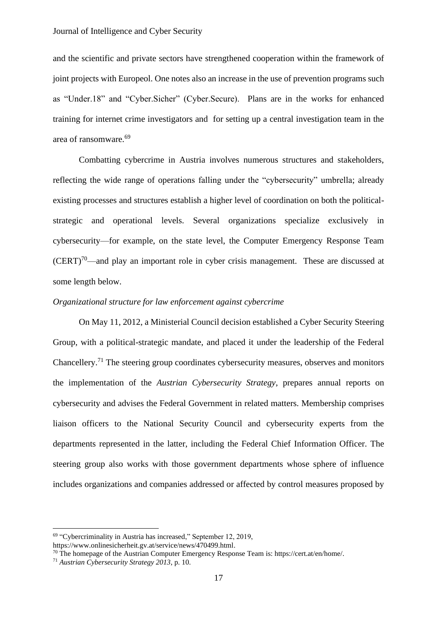and the scientific and private sectors have strengthened cooperation within the framework of joint projects with Europeol. One notes also an increase in the use of prevention programs such as "Under.18" and "Cyber.Sicher" (Cyber.Secure). Plans are in the works for enhanced training for internet crime investigators and for setting up a central investigation team in the area of ransomware.<sup>69</sup>

Combatting cybercrime in Austria involves numerous structures and stakeholders, reflecting the wide range of operations falling under the "cybersecurity" umbrella; already existing processes and structures establish a higher level of coordination on both the politicalstrategic and operational levels. Several organizations specialize exclusively in cybersecurity—for example, on the state level, the Computer Emergency Response Team  $(CERT)^{70}$ —and play an important role in cyber crisis management. These are discussed at some length below.

### *Organizational structure for law enforcement against cybercrime*

On May 11, 2012, a Ministerial Council decision established a Cyber Security Steering Group, with a political-strategic mandate, and placed it under the leadership of the Federal Chancellery.<sup>71</sup> The steering group coordinates cybersecurity measures, observes and monitors the implementation of the *Austrian Cybersecurity Strategy*, prepares annual reports on cybersecurity and advises the Federal Government in related matters. Membership comprises liaison officers to the National Security Council and cybersecurity experts from the departments represented in the latter, including the Federal Chief Information Officer. The steering group also works with those government departments whose sphere of influence includes organizations and companies addressed or affected by control measures proposed by

<sup>&</sup>lt;sup>69</sup> "Cybercriminality in Austria has increased," September 12, 2019,

[https://www.onlinesicherheit.gv.at/service/news/470499.html.](https://www.onlinesicherheit.gv.at/service/news/470499.html)

 $70$  The homepage of the Austrian Computer Emergency Response Team is[: https://cert.at/en/home/.](https://cert.at/en/home/)

<sup>71</sup> *Austrian Cybersecurity Strategy 2013*, p. 10.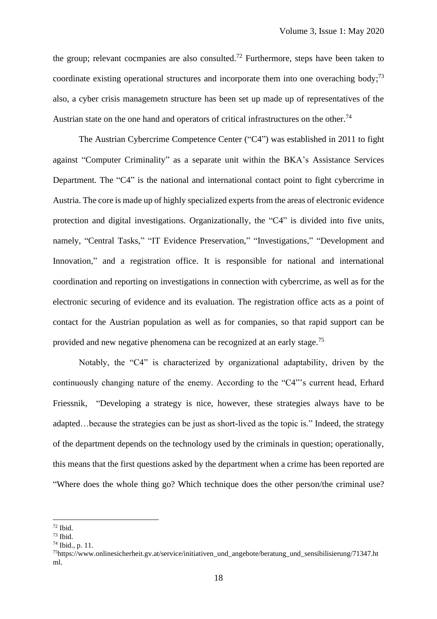the group; relevant cocmpanies are also consulted.<sup>72</sup> Furthermore, steps have been taken to coordinate existing operational structures and incorporate them into one overaching body;<sup>73</sup> also, a cyber crisis managemetn structure has been set up made up of representatives of the Austrian state on the one hand and operators of critical infrastructures on the other.<sup>74</sup>

The Austrian Cybercrime Competence Center ("C4") was established in 2011 to fight against "Computer Criminality" as a separate unit within the BKA's Assistance Services Department. The "C4" is the national and international contact point to fight cybercrime in Austria. The core is made up of highly specialized experts from the areas of electronic evidence protection and digital investigations. Organizationally, the "C4" is divided into five units, namely, "Central Tasks," "IT Evidence Preservation," "Investigations," "Development and Innovation," and a registration office. It is responsible for national and international coordination and reporting on investigations in connection with cybercrime, as well as for the electronic securing of evidence and its evaluation. The registration office acts as a point of contact for the Austrian population as well as for companies, so that rapid support can be provided and new negative phenomena can be recognized at an early stage.<sup>75</sup>

Notably, the "C4" is characterized by organizational adaptability, driven by the continuously changing nature of the enemy. According to the "C4"'s current head, Erhard Friessnik, "Developing a strategy is nice, however, these strategies always have to be adapted…because the strategies can be just as short-lived as the topic is." Indeed, the strategy of the department depends on the technology used by the criminals in question; operationally, this means that the first questions asked by the department when a crime has been reported are "Where does the whole thing go? Which technique does the other person/the criminal use?

<sup>72</sup> Ibid.

<sup>73</sup> Ibid.

<sup>74</sup> Ibid., p. 11.

<sup>75</sup>[https://www.onlinesicherheit.gv.at/service/initiativen\\_und\\_angebote/beratung\\_und\\_sensibilisierung/71347.ht](https://www.onlinesicherheit.gv.at/service/initiativen_und_angebote/beratung_und_sensibilisierung/71347.html) [ml.](https://www.onlinesicherheit.gv.at/service/initiativen_und_angebote/beratung_und_sensibilisierung/71347.html)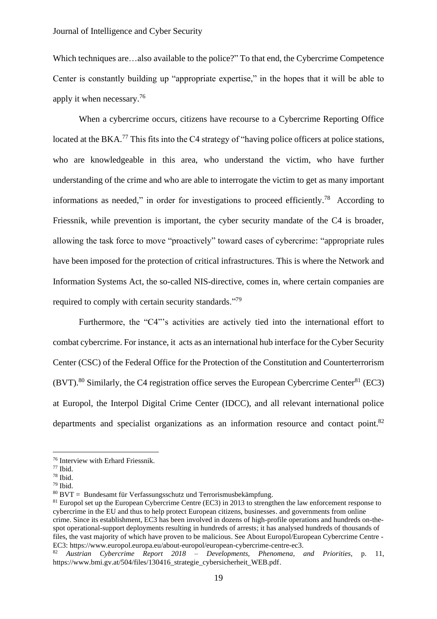Which techniques are…also available to the police?" To that end, the Cybercrime Competence Center is constantly building up "appropriate expertise," in the hopes that it will be able to apply it when necessary. 76

When a cybercrime occurs, citizens have recourse to a Cybercrime Reporting Office located at the BKA.<sup>77</sup> This fits into the C4 strategy of "having police officers at police stations, who are knowledgeable in this area, who understand the victim, who have further understanding of the crime and who are able to interrogate the victim to get as many important informations as needed," in order for investigations to proceed efficiently.<sup>78</sup> According to Friessnik, while prevention is important, the cyber security mandate of the C4 is broader, allowing the task force to move "proactively" toward cases of cybercrime: "appropriate rules have been imposed for the protection of critical infrastructures. This is where the Network and Information Systems Act, the so-called NIS-directive, comes in, where certain companies are required to comply with certain security standards."<sup>79</sup>

Furthermore, the "C4"'s activities are actively tied into the international effort to combat cybercrime. For instance, it acts as an international hub interface for the Cyber Security Center (CSC) of the Federal Office for the Protection of the Constitution and Counterterrorism  $(BVT)$ <sup>80</sup> Similarly, the C4 registration office serves the European Cybercrime Center<sup>81</sup> (EC3) at Europol, the Interpol Digital Crime Center (IDCC), and all relevant international police departments and specialist organizations as an information resource and contact point.<sup>82</sup>

<sup>76</sup> Interview with Erhard Friessnik.

<sup>77</sup> Ibid.

<sup>78</sup> Ibid.

<sup>79</sup> Ibid.

 $80$  BVT = Bundesamt für Verfassungsschutz und Terrorismusbekämpfung.

<sup>&</sup>lt;sup>81</sup> Europol set up the European Cybercrime Centre (EC3) in 2013 to strengthen the law enforcement response to cybercrime in the EU and thus to help protect European citizens, businesses. and governments from online crime. Since its establishment, EC3 has been involved in dozens of high-profile operations and hundreds on-thespot operational-support deployments resulting in hundreds of arrests; it has analysed hundreds of thousands of files, the vast majority of which have proven to be malicious. See About Europol/European Cybercrime Centre - EC3: [https://www.europol.europa.eu/about-europol/european-cybercrime-centre-ec3.](https://www.europol.europa.eu/about-europol/european-cybercrime-centre-ec3)

<sup>82</sup> *Austrian Cybercrime Report 2018 – Developments, Phenomena, and Priorities*, p. 11, [https://www.bmi.gv.at/504/files/130416\\_strategie\\_cybersicherheit\\_WEB.pdf.](https://www.bmi.gv.at/504/files/130416_strategie_cybersicherheit_WEB.pdf)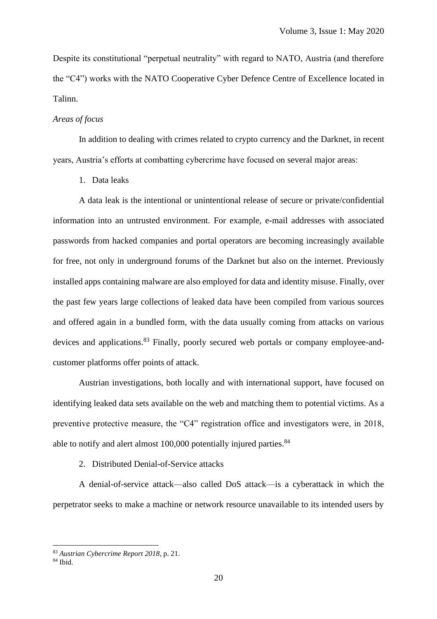Despite its constitutional "perpetual neutrality" with regard to NATO, Austria (and therefore the "C4") works with the NATO Cooperative Cyber Defence Centre of Excellence located in Talinn.

### *Areas of focus*

In addition to dealing with crimes related to crypto currency and the Darknet, in recent years, Austria's efforts at combatting cybercrime have focused on several major areas:

1. Data leaks

A data leak is the intentional or unintentional release of secure or private/confidential information into an untrusted environment. For example, e-mail addresses with associated passwords from hacked companies and portal operators are becoming increasingly available for free, not only in underground forums of the Darknet but also on the internet. Previously installed apps containing malware are also employed for data and identity misuse. Finally, over the past few years large collections of leaked data have been compiled from various sources and offered again in a bundled form, with the data usually coming from attacks on various devices and applications.<sup>83</sup> Finally, poorly secured web portals or company employee-andcustomer platforms offer points of attack.

Austrian investigations, both locally and with international support, have focused on identifying leaked data sets available on the web and matching them to potential victims. As a preventive protective measure, the "C4" registration office and investigators were, in 2018, able to notify and alert almost 100,000 potentially injured parties.<sup>84</sup>

#### 2. Distributed Denial-of-Service attacks

A denial-of-service attack—also called DoS attack—is a cyberattack in which the perpetrator seeks to make a machine or network resource unavailable to its intended users by

<sup>83</sup> *Austrian Cybercrime Report 2018*, p. 21.

 $84$  Ibid.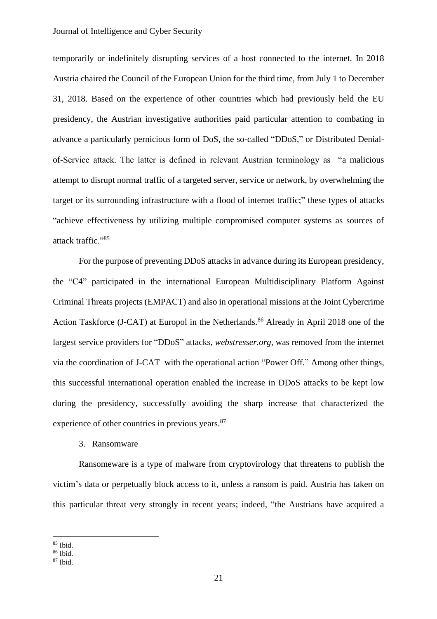temporarily or indefinitely disrupting services of a host connected to the internet. In 2018 Austria chaired the Council of the European Union for the third time, from July 1 to December 31, 2018. Based on the experience of other countries which had previously held the EU presidency, the Austrian investigative authorities paid particular attention to combating in advance a particularly pernicious form of DoS, the so-called "DDoS," or Distributed Denialof-Service attack. The latter is defined in relevant Austrian terminology as "a malicious attempt to disrupt normal traffic of a targeted server, service or network, by overwhelming the target or its surrounding infrastructure with a flood of internet traffic;" these types of attacks "achieve effectiveness by utilizing multiple compromised computer systems as sources of attack traffic."<sup>85</sup>

For the purpose of preventing DDoS attacks in advance during its European presidency, the "C4" participated in the international European Multidisciplinary Platform Against Criminal Threats projects (EMPACT) and also in operational missions at the Joint Cybercrime Action Taskforce (J-CAT) at Europol in the Netherlands. <sup>86</sup> Already in April 2018 one of the largest service providers for "DDoS" attacks, *webstresser.org*, was removed from the internet via the coordination of J-CAT with the operational action "Power Off." Among other things, this successful international operation enabled the increase in DDoS attacks to be kept low during the presidency, successfully avoiding the sharp increase that characterized the experience of other countries in previous years.<sup>87</sup>

#### 3. Ransomware

Ransomeware is a type of malware from cryptovirology that threatens to publish the victim's data or perpetually block access to it, unless a ransom is paid. Austria has taken on this particular threat very strongly in recent years; indeed, "the Austrians have acquired a

<sup>85</sup> Ibid.

<sup>86</sup> Ibid.

<sup>87</sup> Ibid.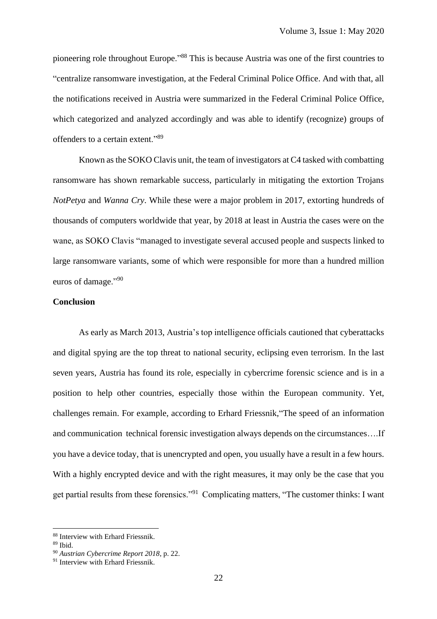pioneering role throughout Europe."<sup>88</sup> This is because Austria was one of the first countries to "centralize ransomware investigation, at the Federal Criminal Police Office. And with that, all the notifications received in Austria were summarized in the Federal Criminal Police Office, which categorized and analyzed accordingly and was able to identify (recognize) groups of offenders to a certain extent."<sup>89</sup>

Known as the SOKO Clavis unit, the team of investigators at C4 tasked with combatting ransomware has shown remarkable success, particularly in mitigating the extortion Trojans *NotPetya* and *Wanna Cry*. While these were a major problem in 2017, extorting hundreds of thousands of computers worldwide that year, by 2018 at least in Austria the cases were on the wane, as SOKO Clavis "managed to investigate several accused people and suspects linked to large ransomware variants, some of which were responsible for more than a hundred million euros of damage."90

# **Conclusion**

As early as March 2013, Austria's top intelligence officials cautioned that cyberattacks and digital spying are the top threat to national security, eclipsing even terrorism. In the last seven years, Austria has found its role, especially in cybercrime forensic science and is in a position to help other countries, especially those within the European community. Yet, challenges remain. For example, according to Erhard Friessnik,"The speed of an information and communication technical forensic investigation always depends on the circumstances….If you have a device today, that is unencrypted and open, you usually have a result in a few hours. With a highly encrypted device and with the right measures, it may only be the case that you get partial results from these forensics."<sup>91</sup> Complicating matters, "The customer thinks: I want

<sup>88</sup> Interview with Erhard Friessnik.

<sup>89</sup> Ibid.

<sup>90</sup> *Austrian Cybercrime Report 2018*, p. 22.

<sup>&</sup>lt;sup>91</sup> Interview with Erhard Friessnik.